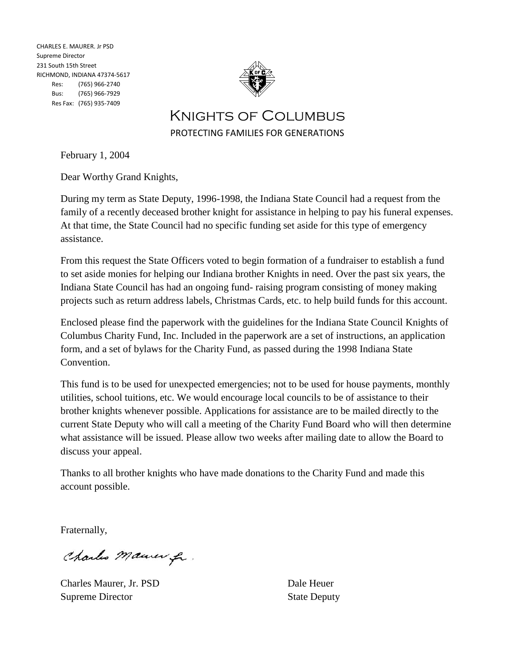CHARLES E. MAURER. Jr PSD Supreme Director 231 South 15th Street RICHMOND, INDIANA 47374-5617 Res: (765) 966-2740 Bus: (765) 966-7929 Res Fax: (765) 935-7409



Knights of Columbus PROTECTING FAMILIES FOR GENERATIONS

February 1, 2004

Dear Worthy Grand Knights,

During my term as State Deputy, 1996-1998, the Indiana State Council had a request from the family of a recently deceased brother knight for assistance in helping to pay his funeral expenses. At that time, the State Council had no specific funding set aside for this type of emergency assistance.

From this request the State Officers voted to begin formation of a fundraiser to establish a fund to set aside monies for helping our Indiana brother Knights in need. Over the past six years, the Indiana State Council has had an ongoing fund- raising program consisting of money making projects such as return address labels, Christmas Cards, etc. to help build funds for this account.

Enclosed please find the paperwork with the guidelines for the Indiana State Council Knights of Columbus Charity Fund, Inc. Included in the paperwork are a set of instructions, an application form, and a set of bylaws for the Charity Fund, as passed during the 1998 Indiana State Convention.

This fund is to be used for unexpected emergencies; not to be used for house payments, monthly utilities, school tuitions, etc. We would encourage local councils to be of assistance to their brother knights whenever possible. Applications for assistance are to be mailed directly to the current State Deputy who will call a meeting of the Charity Fund Board who will then determine what assistance will be issued. Please allow two weeks after mailing date to allow the Board to discuss your appeal.

Thanks to all brother knights who have made donations to the Charity Fund and made this account possible.

Fraternally,

Charles Maurer fr.

Charles Maurer, Jr. PSD Dale Heuer Supreme Director State Deputy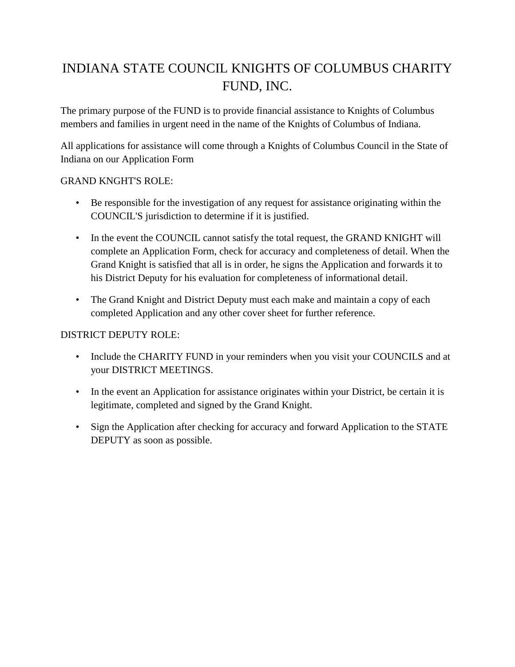# INDIANA STATE COUNCIL KNIGHTS OF COLUMBUS CHARITY FUND, INC.

The primary purpose of the FUND is to provide financial assistance to Knights of Columbus members and families in urgent need in the name of the Knights of Columbus of Indiana.

All applications for assistance will come through a Knights of Columbus Council in the State of Indiana on our Application Form

### GRAND KNGHT'S ROLE:

- Be responsible for the investigation of any request for assistance originating within the COUNCIL'S jurisdiction to determine if it is justified.
- In the event the COUNCIL cannot satisfy the total request, the GRAND KNIGHT will complete an Application Form, check for accuracy and completeness of detail. When the Grand Knight is satisfied that all is in order, he signs the Application and forwards it to his District Deputy for his evaluation for completeness of informational detail.
- The Grand Knight and District Deputy must each make and maintain a copy of each completed Application and any other cover sheet for further reference.

### DISTRICT DEPUTY ROLE:

- Include the CHARITY FUND in your reminders when you visit your COUNCILS and at your DISTRICT MEETINGS.
- In the event an Application for assistance originates within your District, be certain it is legitimate, completed and signed by the Grand Knight.
- Sign the Application after checking for accuracy and forward Application to the STATE DEPUTY as soon as possible.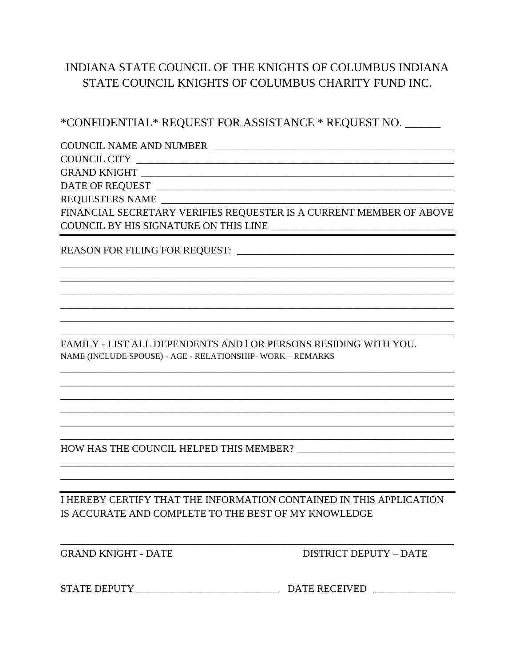## INDIANA STATE COUNCIL OF THE KNIGHTS OF COLUMBUS INDIANA STATE COUNCIL KNIGHTS OF COLUMBUS CHARITY FUND INC.

\*CONFIDENTIAL\* REQUEST FOR ASSISTANCE \* REQUEST NO.

**COUNCIL NAME AND NUMBER EXECUTE:** 

COUNCIL CITY

**GRAND KNIGHT** 

DATE OF REOUEST

FINANCIAL SECRETARY VERIFIES REQUESTER IS A CURRENT MEMBER OF ABOVE COUNCIL BY HIS SIGNATURE ON THIS LINE

REASON FOR FILING FOR REQUEST:

FAMILY - LIST ALL DEPENDENTS AND 1 OR PERSONS RESIDING WITH YOU. NAME (INCLUDE SPOUSE) - AGE - RELATIONSHIP- WORK - REMARKS

I HEREBY CERTIFY THAT THE INFORMATION CONTAINED IN THIS APPLICATION IS ACCURATE AND COMPLETE TO THE BEST OF MY KNOWLEDGE

**GRAND KNIGHT - DATE** 

**DISTRICT DEPUTY - DATE**